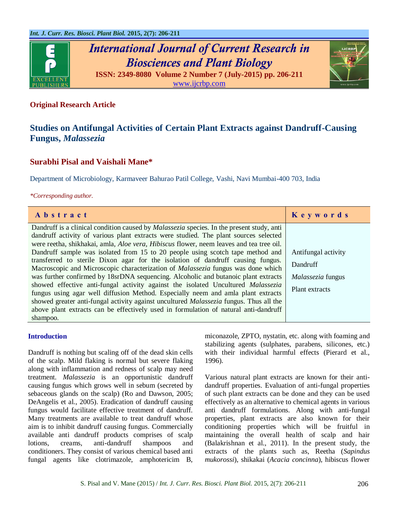

# **Original Research Article**

# **Studies on Antifungal Activities of Certain Plant Extracts against Dandruff-Causing Fungus,** *Malassezia*

# **Surabhi Pisal and Vaishali Mane\***

Department of Microbiology, Karmaveer Bahurao Patil College, Vashi, Navi Mumbai-400 703, India

#### *\*Corresponding author.*

| Abstract                                                                                               | Keywords            |
|--------------------------------------------------------------------------------------------------------|---------------------|
| Dandruff is a clinical condition caused by <i>Malassezia</i> species. In the present study, anti       |                     |
| dandruff activity of various plant extracts were studied. The plant sources selected                   |                     |
| were reetha, shikhakai, amla, <i>Aloe vera</i> , <i>Hibiscus</i> flower, neem leaves and tea tree oil. |                     |
| Dandruff sample was isolated from 15 to 20 people using scotch tape method and                         | Antifungal activity |
| transferred to sterile Dixon agar for the isolation of dandruff causing fungus.                        | Dandruff            |
| Macroscopic and Microscopic characterization of <i>Malassezia</i> fungus was done which                |                     |
| was further confirmed by 18srDNA sequencing. Alcoholic and butanoic plant extracts                     | Malassezia fungus   |
| showed effective anti-fungal activity against the isolated Uncultured Malassezia                       | Plant extracts      |
| fungus using agar well diffusion Method. Especially neem and amla plant extracts                       |                     |
| showed greater anti-fungal activity against uncultured <i>Malassezia</i> fungus. Thus all the          |                     |
| above plant extracts can be effectively used in formulation of natural anti-dandruff                   |                     |
| shampoo.                                                                                               |                     |

### **Introduction**

Dandruff is nothing but scaling off of the dead skin cells of the scalp. Mild flaking is normal but severe flaking along with inflammation and redness of scalp may need treatment. *Malassezia* is an opportunistic dandruff causing fungus which grows well in sebum (secreted by sebaceous glands on the scalp) (Ro and Dawson, 2005; DeAngelis et al., 2005). Eradication of dandruff causing fungus would facilitate effective treatment of dandruff. Many treatments are available to treat dandruff whose aim is to inhibit dandruff causing fungus. Commercially available anti dandruff products comprises of scalp lotions, creams, anti-dandruff shampoos and conditioners. They consist of various chemical based anti fungal agents like clotrimazole, amphotericim B, miconazole, ZPTO, nystatin, etc. along with foaming and stabilizing agents (sulphates, parabens, silicones, etc.) with their individual harmful effects (Pierard et al., 1996).

Various natural plant extracts are known for their antidandruff properties. Evaluation of anti-fungal properties of such plant extracts can be done and they can be used effectively as an alternative to chemical agents in various anti dandruff formulations. Along with anti-fungal properties, plant extracts are also known for their conditioning properties which will be fruitful in maintaining the overall health of scalp and hair (Balakrishnan et al., 2011). In the present study, the extracts of the plants such as, Reetha (*Sapindus mukorossi*), shikakai (*Acacia concinna*), hibiscus flower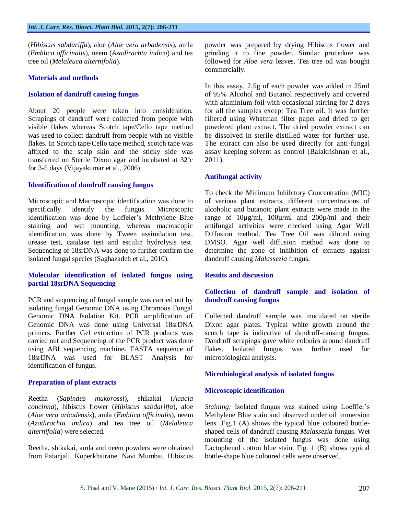(*Hibiscus sabdariffa*), aloe (*Aloe vera arbadensis*), amla (*Emblica officinalis*), neem (*Azadirachta indica*) and tea tree oil (*Melaleuca alternifolia*).

#### **Materials and methods**

#### **Isolation of dandruff causing fungus**

About 20 people were taken into consideration. Scrapings of dandruff were collected from people with visible flakes whereas Scotch tape/Cello tape method was used to collect dandruff from people with no visible flakes. In Scotch tape/Cello tape method, scotch tape was affixed to the scalp skin and the sticky side was transferred on Sterile Dixon agar and incubated at 32ºc for 3-5 days (Vijayakumar et al., 2006)

### **Identification of dandruff causing fungus**

Microscopic and Macroscopic identification was done to specifically identify the fungus. Microscopic identification was done by Loffeler's Methylene Blue staining and wet mounting, whereas macroscopic identification was done by Tween assimilation test, urease test, catalase test and esculin hydrolysis test. Sequencing of 18srDNA was done to further confirm the isolated fungal species (Saghazadeh et al., 2010).

### **Molecular identification of isolated fungus using partial 18srDNA Sequencing**

PCR and sequencing of fungal sample was carried out by isolating fungal Genomic DNA using Chromous Fungal Genomic DNA Isolation Kit. PCR amplification of Genomic DNA was done using Universal 18srDNA primers. Further Gel extraction of PCR products was carried out and Sequencing of the PCR product was done using ABI sequencing machine**.** FASTA sequence of 18srDNA was used for BLAST Analysis for identification of fungus.

### **Preparation of plant extracts**

Reetha (*Sapindus mukorossi*), shikakai (*Acacia concinna*), hibiscus flower (*Hibiscus sabdariffa*), aloe (*Aloe vera arbadensis*), amla (*Emblica officinalis*), neem (*Azadirachta indica*) and tea tree oil (*Melaleuca alternifolia*) were selected.

Reetha, shikakai, amla and neem powders were obtained from Patanjali, Koperkhairane, Navi Mumbai. Hibiscus powder was prepared by drying Hibiscus flower and grinding it to fine powder. Similar procedure was followed for *Aloe vera* leaves. Tea tree oil was bought commercially.

In this assay, 2.5g of each powder was added in 25ml of 95% Alcohol and Butanol respectively and covered with aluminium foil with occasional stirring for 2 days for all the samples except Tea Tree oil. It was further filtered using Whatman filter paper and dried to get powdered plant extract. The dried powder extract can be dissolved in sterile distilled water for further use. The extract can also be used directly for anti-fungal assay keeping solvent as control (Balakrishnan et al., 2011).

### **Antifungal activity**

To check the Minimum Inhibitory Concentration (MIC) of various plant extracts, different concentrations of alcoholic and butanoic plant extracts were made in the range of 10µg/ml, 100µ/ml and 200µ/ml and their antifungal activities were checked using Agar Well Diffusion method. Tea Tree Oil was diluted using DMSO. Agar well diffusion method was done to determine the zone of inhibition of extracts against dandruff causing *Malassezia* fungus.

# **Results and discussion**

# **Collection of dandruff sample and isolation of dandruff causing fungus**

Collected dandruff sample was inoculated on sterile Dixon agar plates. Typical white growth around the scotch tape is indicative of dandruff-causing fungus. Dandruff scrapings gave white colonies around dandruff flakes. Isolated fungus was further used for microbiological analysis.

### **Microbiological analysis of isolated fungus**

#### **Microscopic identification**

*Staining:* Isolated fungus was stained using Loeffler's Methylene Blue stain and observed under oil immersion lens. Fig.1 (A) shows the typical blue coloured bottleshaped cells of dandruff causing *Malassezia* fungus. Wet mounting of the isolated fungus was done using Lactophenol cotton blue stain. Fig. 1 (B) shows typical bottle-shape blue coloured cells were observed.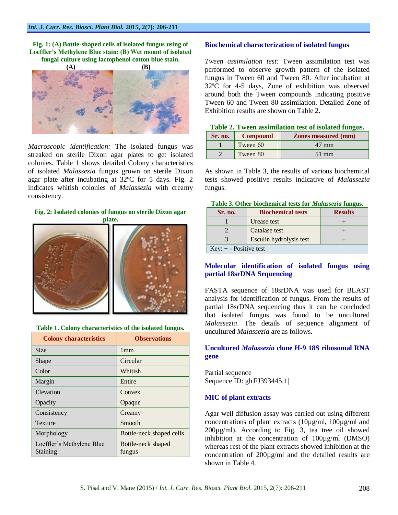#### **Fig. 1: (A) Bottle-shaped cells of isolated fungus using of Loeffler's Methylene Blue stain; (B) Wet mount of isolated fungal culture using lactophenol cotton blue stain.**



*Macroscopic identification:* The isolated fungus was streaked on sterile Dixon agar plates to get isolated colonies. Table 1 shows detailed Colony characteristics of isolated *Malassezia* fungus grown on sterile Dixon agar plate after incubating at 32ºC for 5 days. Fig. 2 indicates whitish colonies of *Malassezia* with creamy consistency.

#### **Fig. 2: Isolated colonies of fungus on sterile Dixon agar**

**plate.**



#### **Table 1. Colony characteristics of the isolated fungus.**

| <b>Colony characteristics</b>         | <b>Observations</b>          |
|---------------------------------------|------------------------------|
| <b>Size</b>                           | 1mm                          |
| Shape                                 | Circular                     |
| Color                                 | Whitish                      |
| Margin                                | Entire                       |
| Elevation                             | Convex                       |
| Opacity                               | Opaque                       |
| Consistency                           | Creamy                       |
| Texture                               | Smooth                       |
| Morphology                            | Bottle-neck shaped cells     |
| Loeffler's Methylene Blue<br>Staining | Bottle-neck shaped<br>fungus |

#### **Biochemical characterization of isolated fungus**

*Tween assimilation test:* Tween assimilation test was performed to observe growth pattern of the isolated fungus in Tween 60 and Tween 80. After incubation at 32ºC for 4-5 days, Zone of exhibition was observed around both the Tween compounds indicating positive Tween 60 and Tween 80 assimilation. Detailed Zone of Exhibition results are shown on Table 2.

|  |  | Table 2. Tween assimilation test of isolated fungus. |  |  |  |  |
|--|--|------------------------------------------------------|--|--|--|--|
|--|--|------------------------------------------------------|--|--|--|--|

| Sr. no. | <b>Compound</b> | <b>Zones measured (mm)</b> |
|---------|-----------------|----------------------------|
|         | Tween 60        | 47 mm                      |
|         | Tween 80        | 51 mm                      |

As shown in Table 3, the results of various biochemical tests showed positive results indicative of *Malassezia* fungus.

#### **Table 3. Other biochemical tests for** *Malassezia* **fungus.**

| Sr. no.                  | <b>Biochemical tests</b> | <b>Results</b> |  |  |  |
|--------------------------|--------------------------|----------------|--|--|--|
|                          | Urease test              |                |  |  |  |
|                          | Catalase test            |                |  |  |  |
|                          | Esculin hydrolysis test  |                |  |  |  |
| Key: $+$ - Positive test |                          |                |  |  |  |

### **Molecular identification of isolated fungus using partial 18srDNA Sequencing**

FASTA sequence of 18srDNA was used for BLAST analysis for identification of fungus. From the results of partial 18srDNA sequencing thus it can be concluded that isolated fungus was found to be uncultured *Malassezia*. The details of sequence alignment of uncultured *Malassezia* are as follows.

### **Uncultured** *Malassezia* **clone H-9 18S ribosomal RNA gene**

Partial sequence Sequence ID: gb|FJ393445.1|

#### **MIC of plant extracts**

Agar well diffusion assay was carried out using different concentrations of plant extracts (10µg/ml, 100µg/ml and 200µg/ml). According to Fig. 3, tea tree oil showed inhibition at the concentration of 100µg/ml (DMSO) whereas rest of the plant extracts showed inhibition at the concentration of 200µg/ml and the detailed results are shown in Table 4.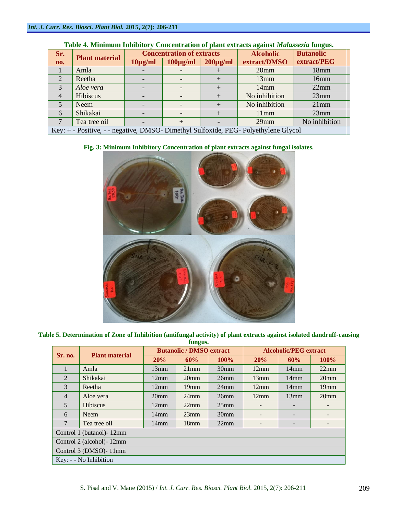| Sr.                                                                                 | <b>Plant material</b> | <b>Concentration of extracts</b> |               |               | <b>Alcoholic</b> | <b>Butanolic</b> |
|-------------------------------------------------------------------------------------|-----------------------|----------------------------------|---------------|---------------|------------------|------------------|
| no.                                                                                 |                       | $10\mu g/ml$                     | $100\mu g/ml$ | $200\mu g/ml$ | extract/DMSO     | extract/PEG      |
|                                                                                     | Amla                  |                                  |               |               | 20 <sub>mm</sub> | 18mm             |
| $\overline{2}$                                                                      | Reetha                |                                  |               |               | 13mm             | 16mm             |
| 3                                                                                   | Aloe vera             |                                  |               | $^+$          | 14mm             | 22mm             |
|                                                                                     | Hibiscus              |                                  |               |               | No inhibition    | 23mm             |
| $\overline{5}$                                                                      | <b>Neem</b>           |                                  |               |               | No inhibition    | $21$ mm          |
| 6                                                                                   | Shikakai              |                                  |               | $^+$          | 11mm             | 23mm             |
|                                                                                     | Tea tree oil          |                                  | $+$           |               | $29$ mm          | No inhibition    |
| Key: + - Positive, - - negative, DMSO- Dimethyl Sulfoxide, PEG- Polyethylene Glycol |                       |                                  |               |               |                  |                  |

# **Table 4. Minimum Inhibitory Concentration of plant extracts against** *Malassezia* **fungus.**

# **Fig. 3: Minimum Inhibitory Concentration of plant extracts against fungal isolates.**



**Table 5. Determination of Zone of Inhibition (antifungal activity) of plant extracts against isolated dandruff-causing fungus.**

| rungus.                    |                       |                                 |                  |                  |                              |                 |                          |  |
|----------------------------|-----------------------|---------------------------------|------------------|------------------|------------------------------|-----------------|--------------------------|--|
| <b>Sr. no.</b>             | <b>Plant material</b> | <b>Butanolic / DMSO extract</b> |                  |                  | <b>Alcoholic/PEG</b> extract |                 |                          |  |
|                            |                       | 20%                             | 60%              | $100\%$          | 20%                          | 60%             | 100%                     |  |
| 1                          | Amla                  | 13mm                            | $21$ mm          | 30 <sub>mm</sub> | 12mm                         | 14mm            | 22mm                     |  |
| 2                          | Shikakai              | 12mm                            | 20 <sub>mm</sub> | 26mm             | 13mm                         | $14$ mm         | 20 <sub>mm</sub>         |  |
| 3                          | Reetha                | 12mm                            | $19$ mm          | $24$ mm          | 12mm                         | $14$ mm         | $19$ mm                  |  |
| $\overline{4}$             | Aloe vera             | 20 <sub>mm</sub>                | $24$ mm          | 26mm             | 12mm                         | 13mm            | 20 <sub>mm</sub>         |  |
| 5                          | Hibiscus              | 12mm                            | $22$ mm          | $25$ mm          |                              |                 |                          |  |
| 6                          | <b>Neem</b>           | 14mm                            | 23mm             | 30 <sub>mm</sub> |                              |                 |                          |  |
| 7                          | Tea tree oil          | 14mm                            | 18 <sub>mm</sub> | 22mm             |                              | $\qquad \qquad$ | $\overline{\phantom{0}}$ |  |
| Control 1 (butanol) - 12mm |                       |                                 |                  |                  |                              |                 |                          |  |
| Control 2 (alcohol) - 12mm |                       |                                 |                  |                  |                              |                 |                          |  |
| Control 3 (DMSO)-11mm      |                       |                                 |                  |                  |                              |                 |                          |  |
| Key: - - No Inhibition     |                       |                                 |                  |                  |                              |                 |                          |  |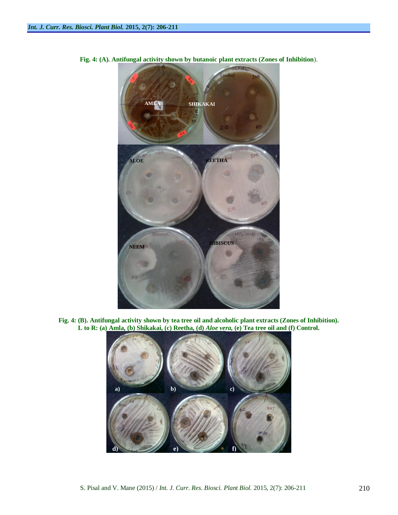

**Fig. 4: (A). Antifungal activity shown by butanoic plant extracts (Zones of Inhibition**).

**Fig. 4: (B). Antifungal activity shown by tea tree oil and alcoholic plant extracts (Zones of Inhibition). L to R: (a) Amla, (b) Shikakai, (c) Reetha, (d)** *Aloe vera,* **(e) Tea tree oil and (f) Control.**